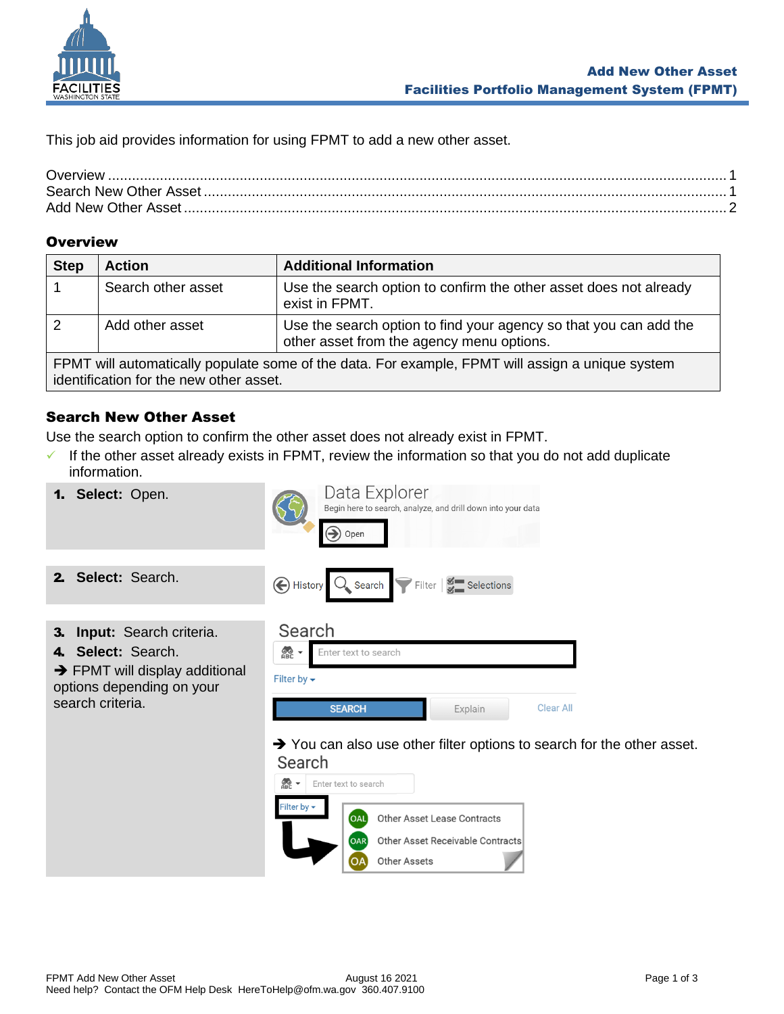

This job aid provides information for using FPMT to add a new other asset.

## <span id="page-0-0"></span>**Overview**

| <b>Step</b>                                                                                                                                 | <b>Action</b>      | <b>Additional Information</b>                                                                                  |  |  |
|---------------------------------------------------------------------------------------------------------------------------------------------|--------------------|----------------------------------------------------------------------------------------------------------------|--|--|
|                                                                                                                                             | Search other asset | Use the search option to confirm the other asset does not already<br>exist in FPMT.                            |  |  |
|                                                                                                                                             | Add other asset    | Use the search option to find your agency so that you can add the<br>other asset from the agency menu options. |  |  |
| FPMT will automatically populate some of the data. For example, FPMT will assign a unique system<br>identification for the new other asset. |                    |                                                                                                                |  |  |

## <span id="page-0-1"></span>Search New Other Asset

Use the search option to confirm the other asset does not already exist in FPMT.

- $\checkmark$  If the other asset already exists in FPMT, review the information so that you do not add duplicate information.
- Data Explorer 1. **Select:** Open. Begin here to search, analyze, and drill down into your data  $\left( \blacktriangleright \right)$  Open 2. **Select:** Search. History  $Q_{\bullet}$  Search Filter Selections Search 3. **Input:** Search criteria. 4. **Select:** Search. **OO** Enter text to search  $\rightarrow$  FPMT will display additional Filter by  $\blacktriangleright$ options depending on your search criteria. Clear All **SEARCH** Explain ➔ You can also use other filter options to search for the other asset.Search

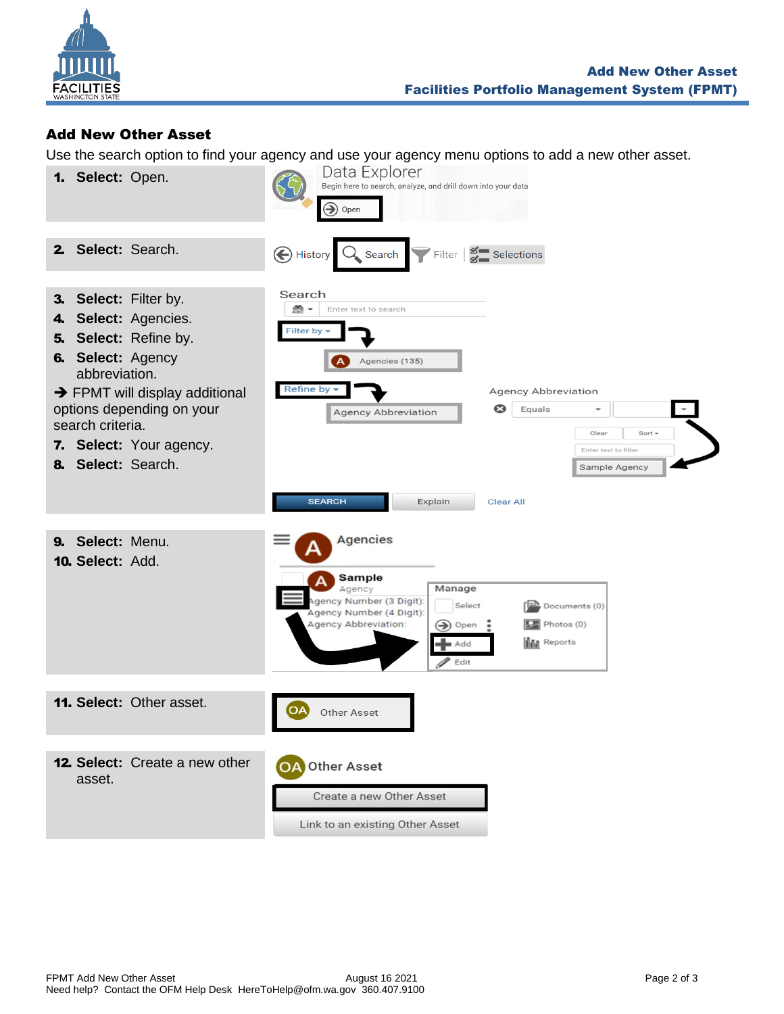

## <span id="page-1-0"></span>Add New Other Asset

Use the search option to find your agency and use your agency menu options to add a new other asset.